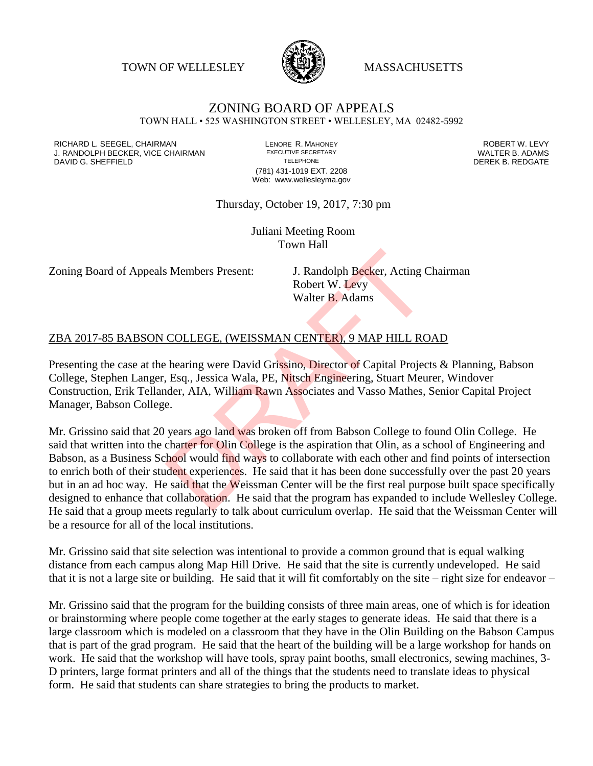TOWN OF WELLESLEY **WASSACHUSETTS** 



## ZONING BOARD OF APPEALS

TOWN HALL • 525 WASHINGTON STREET • WELLESLEY, MA 02482-5992

RICHARD L. SEEGEL, CHAIRMAN LENORE R. MAHONEY ROBERT W. LEVY J. RANDOLPH BECKER, VICE CHAIRMAN EXECUTIVE SECRETARY THE SECRETARY THE SANDOLPH BECKER B. ADAMS<br>DEREK B. REDGATE TELEPHONE TELEPHONE TELEPHONE TELEPHONE DAVID G. SHEFFIELD

(781) 431-1019 EXT. 2208 Web: www.wellesleyma.gov

## Thursday, October 19, 2017, 7:30 pm

Juliani Meeting Room Town Hall

Zoning Board of Appeals Members Present: J. Randolph Becker, Acting Chairman

Robert W. Levy Walter B. Adams

## ZBA 2017-85 BABSON COLLEGE, (WEISSMAN CENTER), 9 MAP HILL ROAD

Presenting the case at the hearing were David Grissino, Director of Capital Projects & Planning, Babson College, Stephen Langer, Esq., Jessica Wala, PE, Nitsch Engineering, Stuart Meurer, Windover Construction, Erik Tellander, AIA, William Rawn Associates and Vasso Mathes, Senior Capital Project Manager, Babson College.

Mr. Grissino said that 20 years ago land was broken off from Babson College to found Olin College. He said that written into the charter for Olin College is the aspiration that Olin, as a school of Engineering and Babson, as a Business School would find ways to collaborate with each other and find points of intersection to enrich both of their student experiences. He said that it has been done successfully over the past 20 years but in an ad hoc way. He said that the Weissman Center will be the first real purpose built space specifically designed to enhance that collaboration. He said that the program has expanded to include Wellesley College. He said that a group meets regularly to talk about curriculum overlap. He said that the Weissman Center will be a resource for all of the local institutions. S Members Present: J. Randolph Becker, Acting C<br>Robert W. Levy<br>Walter B. Adams<br>COLLEGE, (WEISSMAN CENTER), 9 MAP HILL RC<br>hearing were David Grissino, Director of Capital Projection<br>Esq., Jessica Wala, PE, Nitsch Engineerin

Mr. Grissino said that site selection was intentional to provide a common ground that is equal walking distance from each campus along Map Hill Drive. He said that the site is currently undeveloped. He said that it is not a large site or building. He said that it will fit comfortably on the site – right size for endeavor –

Mr. Grissino said that the program for the building consists of three main areas, one of which is for ideation or brainstorming where people come together at the early stages to generate ideas. He said that there is a large classroom which is modeled on a classroom that they have in the Olin Building on the Babson Campus that is part of the grad program. He said that the heart of the building will be a large workshop for hands on work. He said that the workshop will have tools, spray paint booths, small electronics, sewing machines, 3- D printers, large format printers and all of the things that the students need to translate ideas to physical form. He said that students can share strategies to bring the products to market.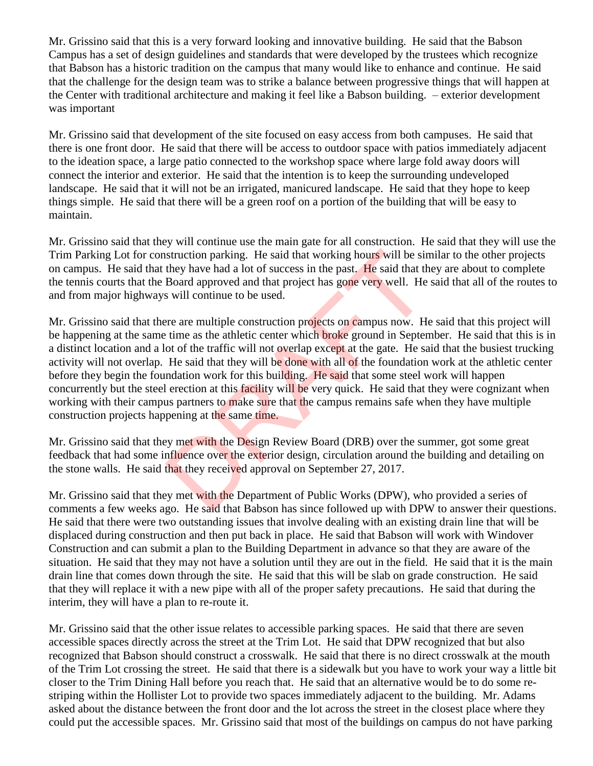Mr. Grissino said that this is a very forward looking and innovative building. He said that the Babson Campus has a set of design guidelines and standards that were developed by the trustees which recognize that Babson has a historic tradition on the campus that many would like to enhance and continue. He said that the challenge for the design team was to strike a balance between progressive things that will happen at the Center with traditional architecture and making it feel like a Babson building. – exterior development was important

Mr. Grissino said that development of the site focused on easy access from both campuses. He said that there is one front door. He said that there will be access to outdoor space with patios immediately adjacent to the ideation space, a large patio connected to the workshop space where large fold away doors will connect the interior and exterior. He said that the intention is to keep the surrounding undeveloped landscape. He said that it will not be an irrigated, manicured landscape. He said that they hope to keep things simple. He said that there will be a green roof on a portion of the building that will be easy to maintain.

Mr. Grissino said that they will continue use the main gate for all construction. He said that they will use the Trim Parking Lot for construction parking. He said that working hours will be similar to the other projects on campus. He said that they have had a lot of success in the past. He said that they are about to complete the tennis courts that the Board approved and that project has gone very well. He said that all of the routes to and from major highways will continue to be used.

Mr. Grissino said that there are multiple construction projects on campus now. He said that this project will be happening at the same time as the athletic center which **broke** ground in September. He said that this is in a distinct location and a lot of the traffic will not overlap except at the gate. He said that the busiest trucking activity will not overlap. He said that they will be done with all of the foundation work at the athletic center before they begin the foundation work for this building. He said that some steel work will happen concurrently but the steel erection at this facility will be very quick. He said that they were cognizant when working with their campus partners to make sure that the campus remains safe when they have multiple construction projects happening at the same time. struction parking. He said that working hours will be sir<br>they have had a lot of success in the past. He said that th<br>Board approved and that project has gone very well. He<br>s will continue to be used.<br>The summer will const

Mr. Grissino said that they met with the Design Review Board (DRB) over the summer, got some great feedback that had some influence over the exterior design, circulation around the building and detailing on the stone walls. He said that they received approval on September 27, 2017.

Mr. Grissino said that they met with the Department of Public Works (DPW), who provided a series of comments a few weeks ago. He said that Babson has since followed up with DPW to answer their questions. He said that there were two outstanding issues that involve dealing with an existing drain line that will be displaced during construction and then put back in place. He said that Babson will work with Windover Construction and can submit a plan to the Building Department in advance so that they are aware of the situation. He said that they may not have a solution until they are out in the field. He said that it is the main drain line that comes down through the site. He said that this will be slab on grade construction. He said that they will replace it with a new pipe with all of the proper safety precautions. He said that during the interim, they will have a plan to re-route it.

Mr. Grissino said that the other issue relates to accessible parking spaces. He said that there are seven accessible spaces directly across the street at the Trim Lot. He said that DPW recognized that but also recognized that Babson should construct a crosswalk. He said that there is no direct crosswalk at the mouth of the Trim Lot crossing the street. He said that there is a sidewalk but you have to work your way a little bit closer to the Trim Dining Hall before you reach that. He said that an alternative would be to do some restriping within the Hollister Lot to provide two spaces immediately adjacent to the building. Mr. Adams asked about the distance between the front door and the lot across the street in the closest place where they could put the accessible spaces. Mr. Grissino said that most of the buildings on campus do not have parking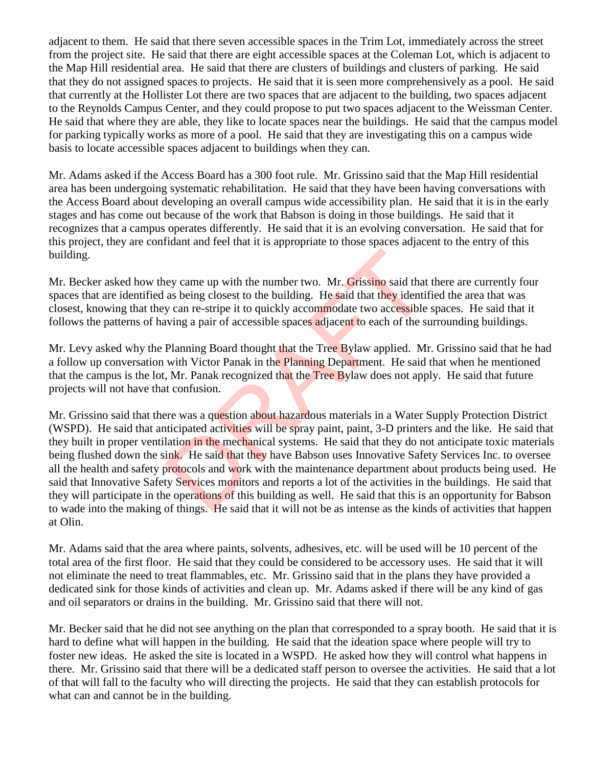adjacent to them. He said that there seven accessible spaces in the Trim Lot, immediately across the street from the project site. He said that there are eight accessible spaces at the Coleman Lot, which is adjacent to the Map Hill residential area. He said that there are clusters of buildings and clusters of parking. He said that they do not assigned spaces to projects. He said that it is seen more comprehensively as a pool. He said that currently at the Hollister Lot there are two spaces that are adjacent to the building, two spaces adjacent to the Reynolds Campus Center, and they could propose to put two spaces adjacent to the Weissman Center. He said that where they are able, they like to locate spaces near the buildings. He said that the campus model for parking typically works as more of a pool. He said that they are investigating this on a campus wide basis to locate accessible spaces adjacent to buildings when they can.

Mr. Adams asked if the Access Board has a 300 foot rule. Mr. Grissino said that the Map Hill residential area has been undergoing systematic rehabilitation. He said that they have been having conversations with the Access Board about developing an overall campus wide accessibility plan. He said that it is in the early stages and has come out because of the work that Babson is doing in those buildings. He said that it recognizes that a campus operates differently. He said that it is an evolving conversation. He said that for this project, they are confidant and feel that it is appropriate to those spaces adjacent to the entry of this building.

Mr. Becker asked how they came up with the number two. Mr. Grissino said that there are currently four spaces that are identified as being closest to the building. He said that they identified the area that was closest, knowing that they can re-stripe it to quickly accommodate two accessible spaces. He said that it follows the patterns of having a pair of accessible spaces adjacent to each of the surrounding buildings.

Mr. Levy asked why the Planning Board thought that the Tree Bylaw applied. Mr. Grissino said that he had a follow up conversation with Victor Panak in the Planning Department. He said that when he mentioned that the campus is the lot, Mr. Panak recognized that the Tree Bylaw does not apply. He said that future projects will not have that confusion.

Mr. Grissino said that there was a question about hazardous materials in a Water Supply Protection District (WSPD). He said that anticipated activities will be spray paint, paint, 3-D printers and the like. He said that they built in proper ventilation in the mechanical systems. He said that they do not anticipate toxic materials being flushed down the sink. He said that they have Babson uses Innovative Safety Services Inc. to oversee all the health and safety protocols and work with the maintenance department about products being used. He said that Innovative Safety Services monitors and reports a lot of the activities in the buildings. He said that they will participate in the operations of this building as well. He said that this is an opportunity for Babson to wade into the making of things. He said that it will not be as intense as the kinds of activities that happen at Olin. ey came up with the number two. Mr. Grissino said that<br>as being closest to the building. He said that they identity<br>can re-stripe it to quickly accommodate two accessible<br>wing a pair of accessible spaces adjacent to each o

Mr. Adams said that the area where paints, solvents, adhesives, etc. will be used will be 10 percent of the total area of the first floor. He said that they could be considered to be accessory uses. He said that it will not eliminate the need to treat flammables, etc. Mr. Grissino said that in the plans they have provided a dedicated sink for those kinds of activities and clean up. Mr. Adams asked if there will be any kind of gas and oil separators or drains in the building. Mr. Grissino said that there will not.

Mr. Becker said that he did not see anything on the plan that corresponded to a spray booth. He said that it is hard to define what will happen in the building. He said that the ideation space where people will try to foster new ideas. He asked the site is located in a WSPD. He asked how they will control what happens in there. Mr. Grissino said that there will be a dedicated staff person to oversee the activities. He said that a lot of that will fall to the faculty who will directing the projects. He said that they can establish protocols for what can and cannot be in the building.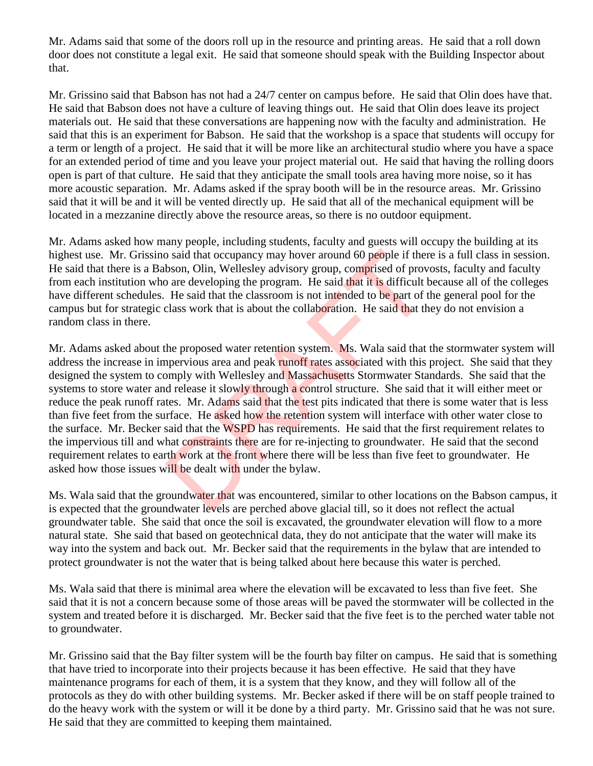Mr. Adams said that some of the doors roll up in the resource and printing areas. He said that a roll down door does not constitute a legal exit. He said that someone should speak with the Building Inspector about that.

Mr. Grissino said that Babson has not had a 24/7 center on campus before. He said that Olin does have that. He said that Babson does not have a culture of leaving things out. He said that Olin does leave its project materials out. He said that these conversations are happening now with the faculty and administration. He said that this is an experiment for Babson. He said that the workshop is a space that students will occupy for a term or length of a project. He said that it will be more like an architectural studio where you have a space for an extended period of time and you leave your project material out. He said that having the rolling doors open is part of that culture. He said that they anticipate the small tools area having more noise, so it has more acoustic separation. Mr. Adams asked if the spray booth will be in the resource areas. Mr. Grissino said that it will be and it will be vented directly up. He said that all of the mechanical equipment will be located in a mezzanine directly above the resource areas, so there is no outdoor equipment.

Mr. Adams asked how many people, including students, faculty and guests will occupy the building at its highest use. Mr. Grissino said that occupancy may hover around 60 people if there is a full class in session. He said that there is a Babson, Olin, Wellesley advisory group, comprised of provosts, faculty and faculty from each institution who are developing the program. He said that it is difficult because all of the colleges have different schedules. He said that the classroom is not intended to be part of the general pool for the campus but for strategic class work that is about the collaboration. He said that they do not envision a random class in there.

Mr. Adams asked about the proposed water retention system. Ms. Wala said that the stormwater system will address the increase in impervious area and peak runoff rates associated with this project. She said that they designed the system to comply with Wellesley and Massachusetts Stormwater Standards. She said that the systems to store water and release it slowly through a control structure. She said that it will either meet or reduce the peak runoff rates. Mr. Adams said that the test pits indicated that there is some water that is less than five feet from the surface. He asked how the retention system will interface with other water close to the surface. Mr. Becker said that the WSPD has requirements. He said that the first requirement relates to the impervious till and what constraints there are for re-injecting to groundwater. He said that the second requirement relates to earth work at the front where there will be less than five feet to groundwater. He asked how those issues will be dealt with under the bylaw. by said that occupancy may hover around 60 people if the<br>bson, Olin, Wellesley advisory group, comprised of prov<br>o are developing the program. He said that it is difficult I<br>He said that the classroom is not intended to be

Ms. Wala said that the groundwater that was encountered, similar to other locations on the Babson campus, it is expected that the groundwater levels are perched above glacial till, so it does not reflect the actual groundwater table. She said that once the soil is excavated, the groundwater elevation will flow to a more natural state. She said that based on geotechnical data, they do not anticipate that the water will make its way into the system and back out. Mr. Becker said that the requirements in the bylaw that are intended to protect groundwater is not the water that is being talked about here because this water is perched.

Ms. Wala said that there is minimal area where the elevation will be excavated to less than five feet. She said that it is not a concern because some of those areas will be paved the stormwater will be collected in the system and treated before it is discharged. Mr. Becker said that the five feet is to the perched water table not to groundwater.

Mr. Grissino said that the Bay filter system will be the fourth bay filter on campus. He said that is something that have tried to incorporate into their projects because it has been effective. He said that they have maintenance programs for each of them, it is a system that they know, and they will follow all of the protocols as they do with other building systems. Mr. Becker asked if there will be on staff people trained to do the heavy work with the system or will it be done by a third party. Mr. Grissino said that he was not sure. He said that they are committed to keeping them maintained.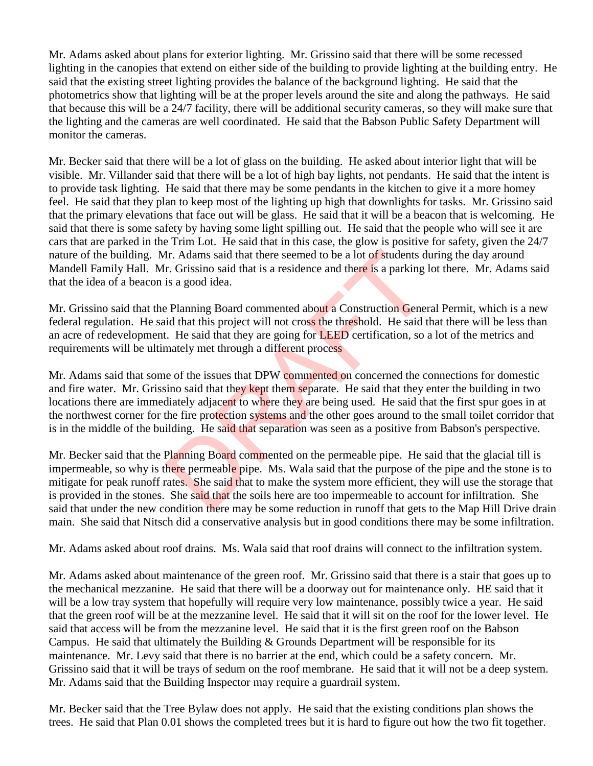Mr. Adams asked about plans for exterior lighting. Mr. Grissino said that there will be some recessed lighting in the canopies that extend on either side of the building to provide lighting at the building entry. He said that the existing street lighting provides the balance of the background lighting. He said that the photometrics show that lighting will be at the proper levels around the site and along the pathways. He said that because this will be a 24/7 facility, there will be additional security cameras, so they will make sure that the lighting and the cameras are well coordinated. He said that the Babson Public Safety Department will monitor the cameras.

Mr. Becker said that there will be a lot of glass on the building. He asked about interior light that will be visible. Mr. Villander said that there will be a lot of high bay lights, not pendants. He said that the intent is to provide task lighting. He said that there may be some pendants in the kitchen to give it a more homey feel. He said that they plan to keep most of the lighting up high that downlights for tasks. Mr. Grissino said that the primary elevations that face out will be glass. He said that it will be a beacon that is welcoming. He said that there is some safety by having some light spilling out. He said that the people who will see it are cars that are parked in the Trim Lot. He said that in this case, the glow is positive for safety, given the 24/7 nature of the building. Mr. Adams said that there seemed to be a lot of students during the day around Mandell Family Hall. Mr. Grissino said that is a residence and there is a parking lot there. Mr. Adams said that the idea of a beacon is a good idea.

Mr. Grissino said that the Planning Board commented about a Construction General Permit, which is a new federal regulation. He said that this project will not cross the threshold. He said that there will be less than an acre of redevelopment. He said that they are going for LEED certification, so a lot of the metrics and requirements will be ultimately met through a different process

Mr. Adams said that some of the issues that DPW commented on concerned the connections for domestic and fire water. Mr. Grissino said that they kept them separate. He said that they enter the building in two locations there are immediately adjacent to where they are being used. He said that the first spur goes in at the northwest corner for the fire protection systems and the other goes around to the small toilet corridor that is in the middle of the building. He said that separation was seen as a positive from Babson's perspective. Ir. Adams said that there seemed to be a lot of students d<br>r. Grissino said that is a residence and there is a parking is<br>a good idea.<br>Planning Board commented about a Construction Gener<br>id that this project will not cross

Mr. Becker said that the Planning Board commented on the permeable pipe. He said that the glacial till is impermeable, so why is there permeable pipe. Ms. Wala said that the purpose of the pipe and the stone is to mitigate for peak runoff rates. She said that to make the system more efficient, they will use the storage that is provided in the stones. She said that the soils here are too impermeable to account for infiltration. She said that under the new condition there may be some reduction in runoff that gets to the Map Hill Drive drain main. She said that Nitsch did a conservative analysis but in good conditions there may be some infiltration.

Mr. Adams asked about roof drains. Ms. Wala said that roof drains will connect to the infiltration system.

Mr. Adams asked about maintenance of the green roof. Mr. Grissino said that there is a stair that goes up to the mechanical mezzanine. He said that there will be a doorway out for maintenance only. HE said that it will be a low tray system that hopefully will require very low maintenance, possibly twice a year. He said that the green roof will be at the mezzanine level. He said that it will sit on the roof for the lower level. He said that access will be from the mezzanine level. He said that it is the first green roof on the Babson Campus. He said that ultimately the Building & Grounds Department will be responsible for its maintenance. Mr. Levy said that there is no barrier at the end, which could be a safety concern. Mr. Grissino said that it will be trays of sedum on the roof membrane. He said that it will not be a deep system. Mr. Adams said that the Building Inspector may require a guardrail system.

Mr. Becker said that the Tree Bylaw does not apply. He said that the existing conditions plan shows the trees. He said that Plan 0.01 shows the completed trees but it is hard to figure out how the two fit together.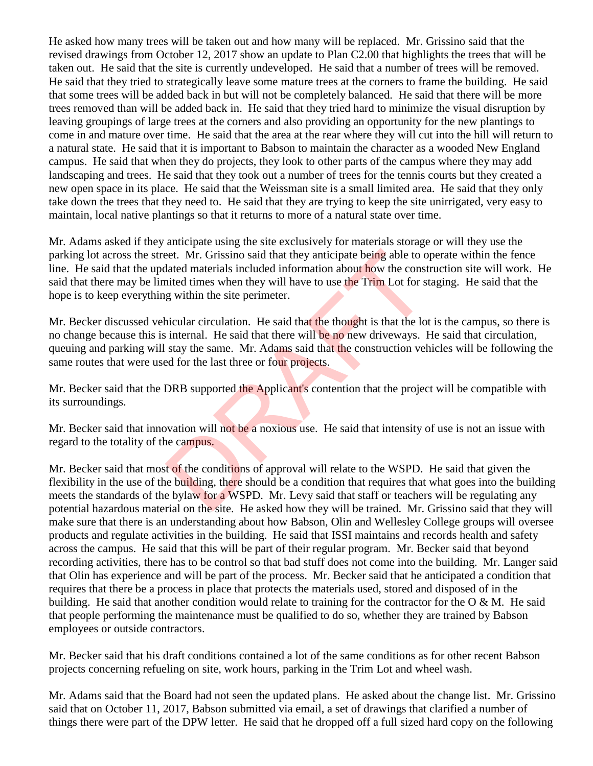He asked how many trees will be taken out and how many will be replaced. Mr. Grissino said that the revised drawings from October 12, 2017 show an update to Plan C2.00 that highlights the trees that will be taken out. He said that the site is currently undeveloped. He said that a number of trees will be removed. He said that they tried to strategically leave some mature trees at the corners to frame the building. He said that some trees will be added back in but will not be completely balanced. He said that there will be more trees removed than will be added back in. He said that they tried hard to minimize the visual disruption by leaving groupings of large trees at the corners and also providing an opportunity for the new plantings to come in and mature over time. He said that the area at the rear where they will cut into the hill will return to a natural state. He said that it is important to Babson to maintain the character as a wooded New England campus. He said that when they do projects, they look to other parts of the campus where they may add landscaping and trees. He said that they took out a number of trees for the tennis courts but they created a new open space in its place. He said that the Weissman site is a small limited area. He said that they only take down the trees that they need to. He said that they are trying to keep the site unirrigated, very easy to maintain, local native plantings so that it returns to more of a natural state over time.

Mr. Adams asked if they anticipate using the site exclusively for materials storage or will they use the parking lot across the street. Mr. Grissino said that they anticipate being able to operate within the fence line. He said that the updated materials included information about how the construction site will work. He said that there may be limited times when they will have to use the Trim Lot for staging. He said that the hope is to keep everything within the site perimeter. et. Mr. Grissino said that they anticipate being able to o<br>dated materials included information about how the constited times when they will have to use the Trim Lot for st<br>g within the site perimeter.<br>nicular circulation.

Mr. Becker discussed vehicular circulation. He said that the thought is that the lot is the campus, so there is no change because this is internal. He said that there will be no new driveways. He said that circulation, queuing and parking will stay the same. Mr. Adams said that the construction vehicles will be following the same routes that were used for the last three or four projects.

Mr. Becker said that the DRB supported the Applicant's contention that the project will be compatible with its surroundings.

Mr. Becker said that innovation will not be a noxious use. He said that intensity of use is not an issue with regard to the totality of the campus.

Mr. Becker said that most of the conditions of approval will relate to the WSPD. He said that given the flexibility in the use of the building, there should be a condition that requires that what goes into the building meets the standards of the bylaw for a WSPD. Mr. Levy said that staff or teachers will be regulating any potential hazardous material on the site. He asked how they will be trained. Mr. Grissino said that they will make sure that there is an understanding about how Babson, Olin and Wellesley College groups will oversee products and regulate activities in the building. He said that ISSI maintains and records health and safety across the campus. He said that this will be part of their regular program. Mr. Becker said that beyond recording activities, there has to be control so that bad stuff does not come into the building. Mr. Langer said that Olin has experience and will be part of the process. Mr. Becker said that he anticipated a condition that requires that there be a process in place that protects the materials used, stored and disposed of in the building. He said that another condition would relate to training for the contractor for the O & M. He said that people performing the maintenance must be qualified to do so, whether they are trained by Babson employees or outside contractors.

Mr. Becker said that his draft conditions contained a lot of the same conditions as for other recent Babson projects concerning refueling on site, work hours, parking in the Trim Lot and wheel wash.

Mr. Adams said that the Board had not seen the updated plans. He asked about the change list. Mr. Grissino said that on October 11, 2017, Babson submitted via email, a set of drawings that clarified a number of things there were part of the DPW letter. He said that he dropped off a full sized hard copy on the following